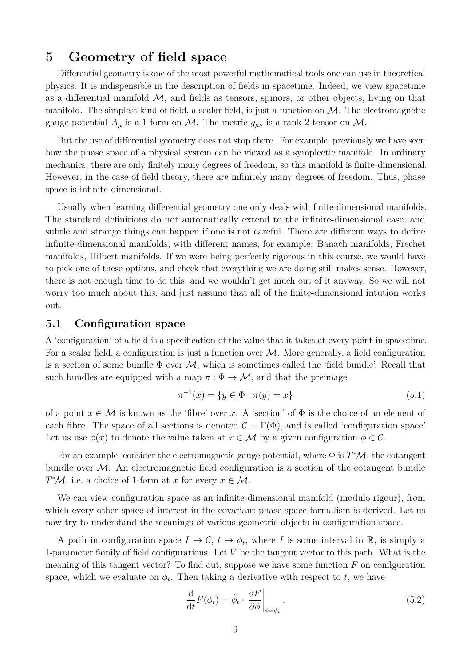# **5 Geometry of field space**

Differential geometry is one of the most powerful mathematical tools one can use in theoretical physics. It is indispensible in the description of fields in spacetime. Indeed, we view spacetime as a differential manifold  $M$ , and fields as tensors, spinors, or other objects, living on that manifold. The simplest kind of field, a scalar field, is just a function on  $M$ . The electromagnetic gauge potential  $A_\mu$  is a 1-form on M. The metric  $g_{\mu\nu}$  is a rank 2 tensor on M.

But the use of differential geometry does not stop there. For example, previously we have seen how the phase space of a physical system can be viewed as a symplectic manifold. In ordinary mechanics, there are only finitely many degrees of freedom, so this manifold is finite-dimensional. However, in the case of field theory, there are infinitely many degrees of freedom. Thus, phase space is infinite-dimensional.

Usually when learning differential geometry one only deals with finite-dimensional manifolds. The standard definitions do not automatically extend to the infinite-dimensional case, and subtle and strange things can happen if one is not careful. There are different ways to define infinite-dimensional manifolds, with different names, for example: Banach manifolds, Frechet manifolds, Hilbert manifolds. If we were being perfectly rigorous in this course, we would have to pick one of these options, and check that everything we are doing still makes sense. However, there is not enough time to do this, and we wouldn't get much out of it anyway. So we will not worry too much about this, and just assume that all of the finite-dimensional intution works out.

## **5.1 Configuration space**

A 'configuration' of a field is a specification of the value that it takes at every point in spacetime. For a scalar field, a configuration is just a function over  $M$ . More generally, a field configuration is a section of some bundle  $\Phi$  over  $\mathcal{M}$ , which is sometimes called the 'field bundle'. Recall that such bundles are equipped with a map  $\pi : \Phi \to M$ , and that the preimage

$$
\pi^{-1}(x) = \{ y \in \Phi : \pi(y) = x \}
$$
\n(5.1)

of a point  $x \in \mathcal{M}$  is known as the 'fibre' over *x*. A 'section' of  $\Phi$  is the choice of an element of each fibre. The space of all sections is denoted  $\mathcal{C} = \Gamma(\Phi)$ , and is called 'configuration space'. Let us use  $\phi(x)$  to denote the value taken at  $x \in M$  by a given configuration  $\phi \in \mathcal{C}$ .

For an example, consider the electromagnetic gauge potential, where  $\Phi$  is  $T^*\mathcal{M}$ , the cotangent bundle over  $\mathcal{M}$ . An electromagnetic field configuration is a section of the cotangent bundle *T*<sup>\*</sup>*M*, i.e. a choice of 1-form at *x* for every  $x \in M$ .

We can view configuration space as an infinite-dimensional manifold (modulo rigour), from which every other space of interest in the covariant phase space formalism is derived. Let us now try to understand the meanings of various geometric objects in configuration space.

A path in configuration space  $I \to \mathcal{C}$ ,  $t \mapsto \phi_t$ , where *I* is some interval in R, is simply a 1-parameter family of field configurations. Let *V* be the tangent vector to this path. What is the meaning of this tangent vector? To find out, suppose we have some function *F* on configuration space, which we evaluate on  $\phi_t$ . Then taking a derivative with respect to *t*, we have

$$
\frac{\mathrm{d}}{\mathrm{d}t}F(\phi_t) = \dot{\phi}_t \cdot \frac{\partial F}{\partial \phi}\bigg|_{\phi = \phi_t},\tag{5.2}
$$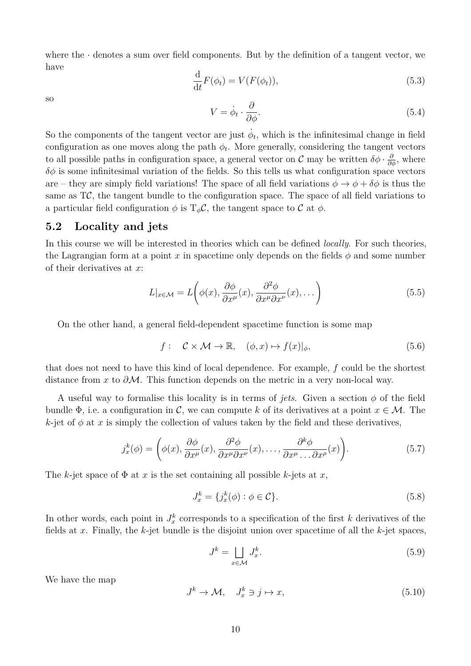where the  $\cdot$  denotes a sum over field components. But by the definition of a tangent vector, we have

$$
\frac{\mathrm{d}}{\mathrm{d}t}F(\phi_t) = V(F(\phi_t)),\tag{5.3}
$$

so

$$
V = \dot{\phi}_t \cdot \frac{\partial}{\partial \phi}.\tag{5.4}
$$

So the components of the tangent vector are just  $\dot{\phi}_t$ , which is the infinitesimal change in field configuration as one moves along the path  $\phi_t$ . More generally, considering the tangent vectors to all possible paths in configuration space, a general vector on  $\mathcal C$  may be written  $\delta\phi \cdot \frac{\partial}{\partial \phi}$ , where  $\delta\phi$  is some infinitesimal variation of the fields. So this tells us what configuration space vectors are – they are simply field variations! The space of all field variations  $\phi \to \phi + \delta \phi$  is thus the same as  $T\mathcal{C}$ , the tangent bundle to the configuration space. The space of all field variations to a particular field configuration  $\phi$  is  $T_{\phi}C$ , the tangent space to C at  $\phi$ .

#### **5.2 Locality and jets**

In this course we will be interested in theories which can be defined *locally*. For such theories, the Lagrangian form at a point *x* in spacetime only depends on the fields  $\phi$  and some number of their derivatives at *x*:

$$
L|_{x \in \mathcal{M}} = L\left(\phi(x), \frac{\partial \phi}{\partial x^{\mu}}(x), \frac{\partial^2 \phi}{\partial x^{\mu} \partial x^{\nu}}(x), \dots\right)
$$
(5.5)

On the other hand, a general field-dependent spacetime function is some map

$$
f: \quad \mathcal{C} \times \mathcal{M} \to \mathbb{R}, \quad (\phi, x) \mapsto f(x)|_{\phi}, \tag{5.6}
$$

that does not need to have this kind of local dependence. For example, *f* could be the shortest distance from *x* to *∂*M. This function depends on the metric in a very non-local way.

A useful way to formalise this locality is in terms of *jets*. Given a section  $\phi$  of the field bundle  $\Phi$ , i.e. a configuration in C, we can compute k of its derivatives at a point  $x \in M$ . The  $k$ -jet of  $\phi$  at x is simply the collection of values taken by the field and these derivatives,

$$
j_x^k(\phi) = \left(\phi(x), \frac{\partial \phi}{\partial x^\mu}(x), \frac{\partial^2 \phi}{\partial x^\mu \partial x^\nu}(x), \dots, \frac{\partial^k \phi}{\partial x^\mu \dots \partial x^\rho}(x)\right).
$$
(5.7)

The *k*-jet space of  $\Phi$  at *x* is the set containing all possible *k*-jets at *x*,

$$
J_x^k = \{ j_x^k(\phi) : \phi \in \mathcal{C} \}. \tag{5.8}
$$

In other words, each point in  $J_x^k$  corresponds to a specification of the first *k* derivatives of the fields at *x*. Finally, the *k*-jet bundle is the disjoint union over spacetime of all the *k*-jet spaces,

$$
J^k = \bigsqcup_{x \in \mathcal{M}} J^k_x. \tag{5.9}
$$

We have the map

$$
J^k \to \mathcal{M}, \quad J_x^k \ni j \mapsto x,\tag{5.10}
$$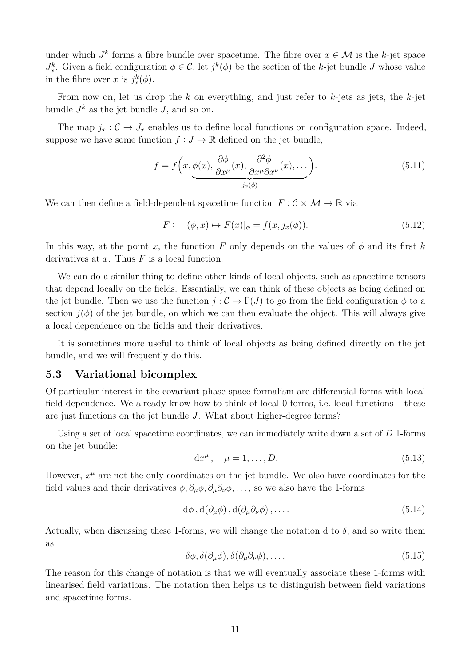under which  $J^k$  forms a fibre bundle over spacetime. The fibre over  $x \in \mathcal{M}$  is the *k*-jet space *J*<sup>k</sup>. Given a field configuration  $\phi \in \mathcal{C}$ , let  $j^k(\phi)$  be the section of the *k*-jet bundle *J* whose value in the fibre over *x* is  $j_x^k(\phi)$ .

From now on, let us drop the *k* on everything, and just refer to *k*-jets as jets, the *k*-jet bundle  $J^k$  as the jet bundle  $J$ , and so on.

The map  $j_x$ :  $\mathcal{C} \rightarrow J_x$  enables us to define local functions on configuration space. Indeed, suppose we have some function  $f: J \to \mathbb{R}$  defined on the jet bundle,

$$
f = f\left(x, \underbrace{\phi(x), \frac{\partial \phi}{\partial x^{\mu}}(x), \frac{\partial^2 \phi}{\partial x^{\mu} \partial x^{\nu}}(x), \dots}_{j_x(\phi)}\right).
$$
 (5.11)

We can then define a field-dependent spacetime function  $F: \mathcal{C} \times \mathcal{M} \to \mathbb{R}$  via

$$
F: (\phi, x) \mapsto F(x)|_{\phi} = f(x, j_x(\phi)). \tag{5.12}
$$

In this way, at the point *x*, the function *F* only depends on the values of  $\phi$  and its first *k* derivatives at *x*. Thus *F* is a local function.

We can do a similar thing to define other kinds of local objects, such as spacetime tensors that depend locally on the fields. Essentially, we can think of these objects as being defined on the jet bundle. Then we use the function  $j: \mathcal{C} \to \Gamma(J)$  to go from the field configuration  $\phi$  to a section  $j(\phi)$  of the jet bundle, on which we can then evaluate the object. This will always give a local dependence on the fields and their derivatives.

It is sometimes more useful to think of local objects as being defined directly on the jet bundle, and we will frequently do this.

#### **5.3 Variational bicomplex**

Of particular interest in the covariant phase space formalism are differential forms with local field dependence. We already know how to think of local 0-forms, i.e. local functions – these are just functions on the jet bundle *J*. What about higher-degree forms?

Using a set of local spacetime coordinates, we can immediately write down a set of *D* 1-forms on the jet bundle:

<span id="page-2-0"></span>
$$
dx^{\mu}, \quad \mu = 1, \dots, D. \tag{5.13}
$$

However,  $x^{\mu}$  are not the only coordinates on the jet bundle. We also have coordinates for the field values and their derivatives  $\phi$ ,  $\partial_{\mu}\phi$ ,  $\partial_{\mu}\partial_{\nu}\phi$ , ..., so we also have the 1-forms

$$
d\phi, d(\partial_{\mu}\phi), d(\partial_{\mu}\partial_{\nu}\phi), \dots. \tag{5.14}
$$

Actually, when discussing these 1-forms, we will change the notation d to  $\delta$ , and so write them as

<span id="page-2-1"></span>
$$
\delta\phi, \delta(\partial_{\mu}\phi), \delta(\partial_{\mu}\partial_{\nu}\phi), \dots
$$
\n(5.15)

The reason for this change of notation is that we will eventually associate these 1-forms with linearised field variations. The notation then helps us to distinguish between field variations and spacetime forms.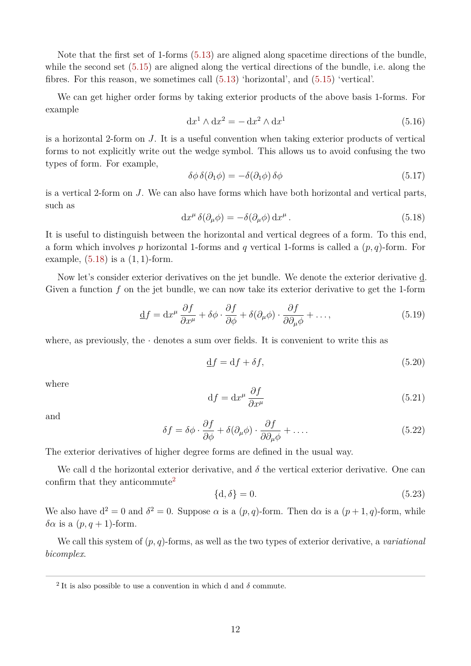Note that the first set of 1-forms [\(5.13\)](#page-2-0) are aligned along spacetime directions of the bundle, while the second set [\(5.15\)](#page-2-1) are aligned along the vertical directions of the bundle, i.e. along the fibres. For this reason, we sometimes call [\(5.13\)](#page-2-0) 'horizontal', and [\(5.15\)](#page-2-1) 'vertical'.

We can get higher order forms by taking exterior products of the above basis 1-forms. For example

$$
dx1 \wedge dx2 = -dx2 \wedge dx1
$$
 (5.16)

is a horizontal 2-form on *J*. It is a useful convention when taking exterior products of vertical forms to not explicitly write out the wedge symbol. This allows us to avoid confusing the two types of form. For example,

$$
\delta\phi \,\delta(\partial_1\phi) = -\delta(\partial_1\phi) \,\delta\phi \tag{5.17}
$$

is a vertical 2-form on *J*. We can also have forms which have both horizontal and vertical parts, such as

<span id="page-3-0"></span>
$$
dx^{\mu}\,\delta(\partial_{\mu}\phi) = -\delta(\partial_{\mu}\phi)\,dx^{\mu}.
$$
\n(5.18)

It is useful to distinguish between the horizontal and vertical degrees of a form. To this end, a form which involves *p* horizontal 1-forms and *q* vertical 1-forms is called a (*p, q*)-form. For example, [\(5.18\)](#page-3-0) is a (1*,* 1)-form.

Now let's consider exterior derivatives on the jet bundle. We denote the exterior derivative d. Given a function *f* on the jet bundle, we can now take its exterior derivative to get the 1-form

$$
\underline{\mathbf{d}}f = \mathbf{d}x^{\mu}\frac{\partial f}{\partial x^{\mu}} + \delta\phi \cdot \frac{\partial f}{\partial \phi} + \delta(\partial_{\mu}\phi) \cdot \frac{\partial f}{\partial \partial_{\mu}\phi} + \dots,
$$
\n(5.19)

where, as previously, the  $\cdot$  denotes a sum over fields. It is convenient to write this as

$$
\underline{\mathbf{d}}f = \mathbf{d}f + \delta f,\tag{5.20}
$$

where

$$
df = dx^{\mu} \frac{\partial f}{\partial x^{\mu}}
$$
 (5.21)

and

$$
\delta f = \delta \phi \cdot \frac{\partial f}{\partial \phi} + \delta (\partial_{\mu} \phi) \cdot \frac{\partial f}{\partial \partial_{\mu} \phi} + \dots
$$
\n(5.22)

The exterior derivatives of higher degree forms are defined in the usual way.

We call d the horizontal exterior derivative, and  $\delta$  the vertical exterior derivative. One can confirm that they anticommute<sup>[2](#page-3-1)</sup>

$$
\{d, \delta\} = 0. \tag{5.23}
$$

We also have  $d^2 = 0$  and  $\delta^2 = 0$ . Suppose  $\alpha$  is a  $(p, q)$ -form. Then  $d\alpha$  is a  $(p + 1, q)$ -form, while *δα* is a (*p, q* + 1)-form.

We call this system of (*p, q*)-forms, as well as the two types of exterior derivative, a *variational bicomplex*.

<span id="page-3-1"></span><sup>&</sup>lt;sup>2</sup> It is also possible to use a convention in which d and  $\delta$  commute.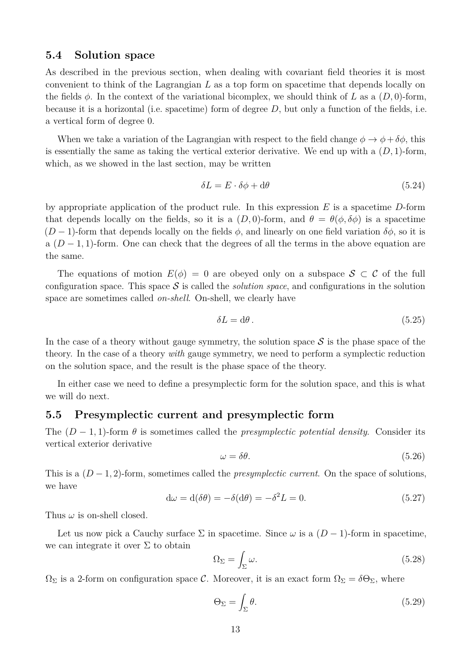#### **5.4 Solution space**

As described in the previous section, when dealing with covariant field theories it is most convenient to think of the Lagrangian *L* as a top form on spacetime that depends locally on the fields  $\phi$ . In the context of the variational bicomplex, we should think of *L* as a  $(D, 0)$ -form, because it is a horizontal (i.e. spacetime) form of degree *D*, but only a function of the fields, i.e. a vertical form of degree 0.

When we take a variation of the Lagrangian with respect to the field change  $\phi \to \phi + \delta \phi$ , this is essentially the same as taking the vertical exterior derivative. We end up with a (*D,* 1)-form, which, as we showed in the last section, may be written

$$
\delta L = E \cdot \delta \phi + d\theta \tag{5.24}
$$

by appropriate application of the product rule. In this expression *E* is a spacetime *D*-form that depends locally on the fields, so it is a  $(D,0)$ -form, and  $\theta = \theta(\phi, \delta\phi)$  is a spacetime  $(D-1)$ -form that depends locally on the fields  $\phi$ , and linearly on one field variation  $\delta\phi$ , so it is a (*D* − 1*,* 1)-form. One can check that the degrees of all the terms in the above equation are the same.

The equations of motion  $E(\phi) = 0$  are obeyed only on a subspace  $S \subset C$  of the full configuration space. This space  $\mathcal S$  is called the *solution space*, and configurations in the solution space are sometimes called *on-shell*. On-shell, we clearly have

$$
\delta L = d\theta. \tag{5.25}
$$

In the case of a theory without gauge symmetry, the solution space  $S$  is the phase space of the theory. In the case of a theory *with* gauge symmetry, we need to perform a symplectic reduction on the solution space, and the result is the phase space of the theory.

In either case we need to define a presymplectic form for the solution space, and this is what we will do next.

## **5.5 Presymplectic current and presymplectic form**

The  $(D-1,1)$ -form  $\theta$  is sometimes called the *presymplectic potential density*. Consider its vertical exterior derivative

$$
\omega = \delta \theta. \tag{5.26}
$$

This is a  $(D-1, 2)$ -form, sometimes called the *presymplectic current*. On the space of solutions, we have

$$
d\omega = d(\delta\theta) = -\delta(d\theta) = -\delta^2 L = 0.
$$
\n(5.27)

Thus  $\omega$  is on-shell closed.

Let us now pick a Cauchy surface  $\Sigma$  in spacetime. Since  $\omega$  is a  $(D-1)$ -form in spacetime, we can integrate it over  $\Sigma$  to obtain

$$
\Omega_{\Sigma} = \int_{\Sigma} \omega. \tag{5.28}
$$

 $\Omega_{\Sigma}$  is a 2-form on configuration space C. Moreover, it is an exact form  $\Omega_{\Sigma} = \delta \Theta_{\Sigma}$ , where

$$
\Theta_{\Sigma} = \int_{\Sigma} \theta. \tag{5.29}
$$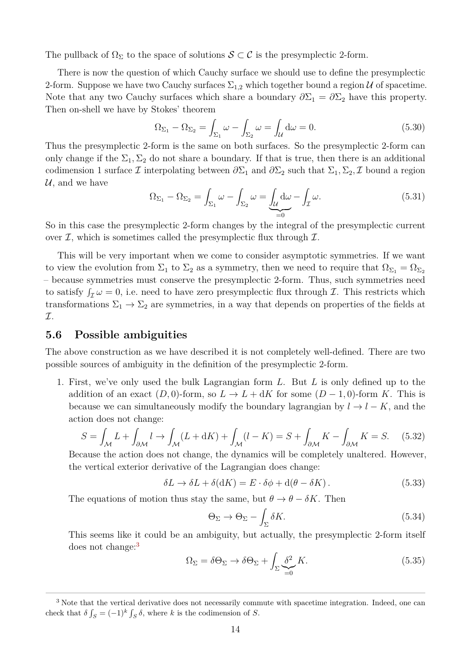The pullback of  $\Omega_{\Sigma}$  to the space of solutions  $\mathcal{S} \subset \mathcal{C}$  is the presymplectic 2-form.

There is now the question of which Cauchy surface we should use to define the presymplectic 2-form. Suppose we have two Cauchy surfaces  $\Sigma_{1,2}$  which together bound a region U of spacetime. Note that any two Cauchy surfaces which share a boundary  $\partial \Sigma_1 = \partial \Sigma_2$  have this property. Then on-shell we have by Stokes' theorem

$$
\Omega_{\Sigma_1} - \Omega_{\Sigma_2} = \int_{\Sigma_1} \omega - \int_{\Sigma_2} \omega = \int_{\mathcal{U}} d\omega = 0.
$$
\n(5.30)

Thus the presymplectic 2-form is the same on both surfaces. So the presymplectic 2-form can only change if the  $\Sigma_1, \Sigma_2$  do not share a boundary. If that is true, then there is an additional codimension 1 surface  $\mathcal I$  interpolating between  $\partial \Sigma_1$  and  $\partial \Sigma_2$  such that  $\Sigma_1, \Sigma_2, \mathcal I$  bound a region  $\mathcal{U}$ , and we have

$$
\Omega_{\Sigma_1} - \Omega_{\Sigma_2} = \int_{\Sigma_1} \omega - \int_{\Sigma_2} \omega = \underbrace{\int_{\mathcal{U}} d\omega}_{=0} - \int_{\mathcal{I}} \omega.
$$
\n(5.31)

So in this case the presymplectic 2-form changes by the integral of the presymplectic current over  $I$ , which is sometimes called the presymplectic flux through  $I$ .

This will be very important when we come to consider asymptotic symmetries. If we want to view the evolution from  $\Sigma_1$  to  $\Sigma_2$  as a symmetry, then we need to require that  $\Omega_{\Sigma_1} = \Omega_{\Sigma_2}$ – because symmetries must conserve the presymplectic 2-form. Thus, such symmetries need to satisfy  $\int_{\mathcal{I}} \omega = 0$ , i.e. need to have zero presymplectic flux through  $\mathcal{I}$ . This restricts which transformations  $\Sigma_1 \to \Sigma_2$  are symmetries, in a way that depends on properties of the fields at I.

#### **5.6 Possible ambiguities**

The above construction as we have described it is not completely well-defined. There are two possible sources of ambiguity in the definition of the presymplectic 2-form.

1. First, we've only used the bulk Lagrangian form *L*. But *L* is only defined up to the addition of an exact  $(D, 0)$ -form, so  $L \to L + dK$  for some  $(D - 1, 0)$ -form K. This is because we can simultaneously modify the boundary lagrangian by  $l \rightarrow l - K$ , and the action does not change:

$$
S = \int_{\mathcal{M}} L + \int_{\partial \mathcal{M}} l \to \int_{\mathcal{M}} (L + dK) + \int_{\mathcal{M}} (l - K) = S + \int_{\partial \mathcal{M}} K - \int_{\partial \mathcal{M}} K = S. \tag{5.32}
$$

Because the action does not change, the dynamics will be completely unaltered. However, the vertical exterior derivative of the Lagrangian does change:

$$
\delta L \to \delta L + \delta (dK) = E \cdot \delta \phi + d(\theta - \delta K). \tag{5.33}
$$

The equations of motion thus stay the same, but  $\theta \to \theta - \delta K$ . Then

$$
\Theta_{\Sigma} \to \Theta_{\Sigma} - \int_{\Sigma} \delta K. \tag{5.34}
$$

This seems like it could be an ambiguity, but actually, the presymplectic 2-form itself does not change:<sup>[3](#page-5-0)</sup>

$$
\Omega_{\Sigma} = \delta \Theta_{\Sigma} \to \delta \Theta_{\Sigma} + \int_{\Sigma} \underbrace{\delta^2}_{=0} K. \tag{5.35}
$$

<span id="page-5-0"></span><sup>&</sup>lt;sup>3</sup> Note that the vertical derivative does not necessarily commute with spacetime integration. Indeed, one can check that  $\delta \int_S = (-1)^k \int_S \delta$ , where *k* is the codimension of *S*.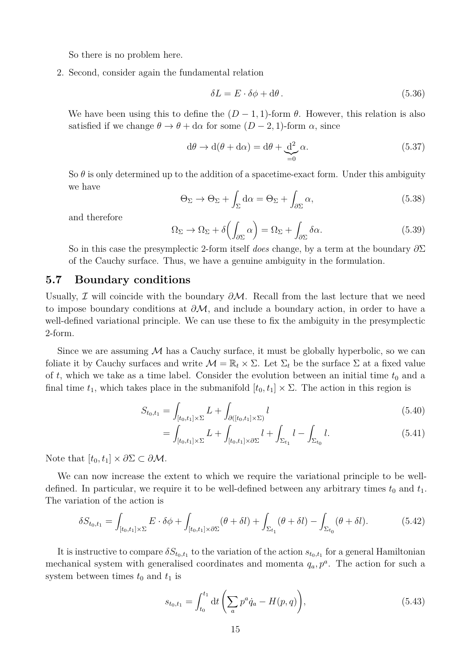So there is no problem here.

2. Second, consider again the fundamental relation

$$
\delta L = E \cdot \delta \phi + d\theta. \tag{5.36}
$$

We have been using this to define the  $(D-1,1)$ -form  $\theta$ . However, this relation is also satisfied if we change  $\theta \to \theta + d\alpha$  for some  $(D-2, 1)$ -form  $\alpha$ , since

$$
d\theta \to d(\theta + d\alpha) = d\theta + \underbrace{d^2}_{=0} \alpha.
$$
\n(5.37)

So  $\theta$  is only determined up to the addition of a spacetime-exact form. Under this ambiguity we have

$$
\Theta_{\Sigma} \to \Theta_{\Sigma} + \int_{\Sigma} d\alpha = \Theta_{\Sigma} + \int_{\partial \Sigma} \alpha, \tag{5.38}
$$

and therefore

$$
\Omega_{\Sigma} \to \Omega_{\Sigma} + \delta \left( \int_{\partial \Sigma} \alpha \right) = \Omega_{\Sigma} + \int_{\partial \Sigma} \delta \alpha. \tag{5.39}
$$

So in this case the presymplectic 2-form itself *does* change, by a term at the boundary *∂*Σ of the Cauchy surface. Thus, we have a genuine ambiguity in the formulation.

#### **5.7 Boundary conditions**

Usually, I will coincide with the boundary *∂*M. Recall from the last lecture that we need to impose boundary conditions at *∂*M, and include a boundary action, in order to have a well-defined variational principle. We can use these to fix the ambiguity in the presymplectic 2-form.

Since we are assuming  $M$  has a Cauchy surface, it must be globally hyperbolic, so we can foliate it by Cauchy surfaces and write  $\mathcal{M} = \mathbb{R}_t \times \Sigma$ . Let  $\Sigma_t$  be the surface  $\Sigma$  at a fixed value of t, which we take as a time label. Consider the evolution between an initial time  $t_0$  and a final time  $t_1$ , which takes place in the submanifold  $[t_0, t_1] \times \Sigma$ . The action in this region is

$$
S_{t_0, t_1} = \int_{[t_0, t_1] \times \Sigma} L + \int_{\partial([t_0, t_1] \times \Sigma)} l \tag{5.40}
$$

$$
= \int_{[t_0, t_1] \times \Sigma} L + \int_{[t_0, t_1] \times \partial \Sigma} l + \int_{\Sigma_{t_1}} l - \int_{\Sigma_{t_0}} l. \tag{5.41}
$$

Note that  $[t_0, t_1] \times \partial \Sigma \subset \partial M$ .

We can now increase the extent to which we require the variational principle to be welldefined. In particular, we require it to be well-defined between any arbitrary times  $t_0$  and  $t_1$ . The variation of the action is

$$
\delta S_{t_0,t_1} = \int_{[t_0,t_1] \times \Sigma} E \cdot \delta \phi + \int_{[t_0,t_1] \times \partial \Sigma} (\theta + \delta l) + \int_{\Sigma_{t_1}} (\theta + \delta l) - \int_{\Sigma_{t_0}} (\theta + \delta l). \tag{5.42}
$$

It is instructive to compare  $\delta S_{t_0,t_1}$  to the variation of the action  $s_{t_0,t_1}$  for a general Hamiltonian mechanical system with generalised coordinates and momenta  $q_a, p^a$ . The action for such a system between times  $t_0$  and  $t_1$  is

$$
s_{t_0,t_1} = \int_{t_0}^{t_1} dt \left( \sum_a p^a \dot{q}_a - H(p,q) \right), \tag{5.43}
$$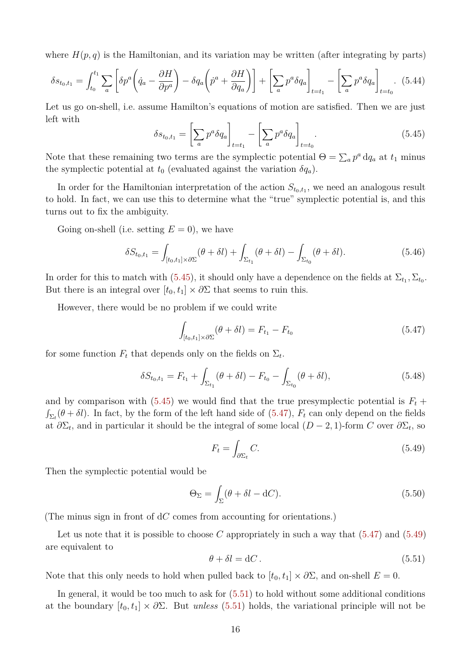where  $H(p,q)$  is the Hamiltonian, and its variation may be written (after integrating by parts)

$$
\delta s_{t_0,t_1} = \int_{t_0}^{t_1} \sum_a \left[ \delta p^a \left( \dot{q}_a - \frac{\partial H}{\partial p^a} \right) - \delta q_a \left( \dot{p}^a + \frac{\partial H}{\partial q_a} \right) \right] + \left[ \sum_a p^a \delta q_a \right]_{t=t_1} - \left[ \sum_a p^a \delta q_a \right]_{t=t_0} . \tag{5.44}
$$

Let us go on-shell, i.e. assume Hamilton's equations of motion are satisfied. Then we are just left with

<span id="page-7-0"></span>
$$
\delta s_{t_0,t_1} = \left[\sum_a p^a \delta q_a\right]_{t=t_1} - \left[\sum_a p^a \delta q_a\right]_{t=t_0}.\tag{5.45}
$$

Note that these remaining two terms are the symplectic potential  $\Theta = \sum_a p^a \, dq_a$  at  $t_1$  minus the symplectic potential at  $t_0$  (evaluated against the variation  $\delta q_a$ ).

In order for the Hamiltonian interpretation of the action  $S_{t_0,t_1}$ , we need an analogous result to hold. In fact, we can use this to determine what the "true" symplectic potential is, and this turns out to fix the ambiguity.

Going on-shell (i.e. setting  $E = 0$ ), we have

$$
\delta S_{t_0,t_1} = \int_{[t_0,t_1] \times \partial \Sigma} (\theta + \delta l) + \int_{\Sigma_{t_1}} (\theta + \delta l) - \int_{\Sigma_{t_0}} (\theta + \delta l). \tag{5.46}
$$

In order for this to match with  $(5.45)$ , it should only have a dependence on the fields at  $\Sigma_{t_1}, \Sigma_{t_0}$ . But there is an integral over  $[t_0, t_1] \times \partial \Sigma$  that seems to ruin this.

However, there would be no problem if we could write

<span id="page-7-1"></span>
$$
\int_{[t_0, t_1] \times \partial \Sigma} (\theta + \delta l) = F_{t_1} - F_{t_0}
$$
\n(5.47)

for some function  $F_t$  that depends only on the fields on  $\Sigma_t$ .

$$
\delta S_{t_0,t_1} = F_{t_1} + \int_{\Sigma_{t_1}} (\theta + \delta l) - F_{t_0} - \int_{\Sigma_{t_0}} (\theta + \delta l), \tag{5.48}
$$

and by comparison with  $(5.45)$  we would find that the true presymplectic potential is  $F_t$  +  $\int_{\Sigma_t} (\theta + \delta l)$ . In fact, by the form of the left hand side of [\(5.47\)](#page-7-1),  $F_t$  can only depend on the fields at  $\partial \Sigma_t$ , and in particular it should be the integral of some local  $(D-2, 1)$ -form *C* over  $\partial \Sigma_t$ , so

<span id="page-7-2"></span>
$$
F_t = \int_{\partial \Sigma_t} C. \tag{5.49}
$$

Then the symplectic potential would be

<span id="page-7-4"></span>
$$
\Theta_{\Sigma} = \int_{\Sigma} (\theta + \delta l - \mathrm{d}C). \tag{5.50}
$$

(The minus sign in front of d*C* comes from accounting for orientations.)

Let us note that it is possible to choose *C* appropriately in such a way that [\(5.47\)](#page-7-1) and [\(5.49\)](#page-7-2) are equivalent to

<span id="page-7-3"></span>
$$
\theta + \delta l = dC. \tag{5.51}
$$

Note that this only needs to hold when pulled back to  $[t_0, t_1] \times \partial \Sigma$ , and on-shell  $E = 0$ .

In general, it would be too much to ask for [\(5.51\)](#page-7-3) to hold without some additional conditions at the boundary  $[t_0, t_1] \times \partial \Sigma$ . But *unless* [\(5.51\)](#page-7-3) holds, the variational principle will not be